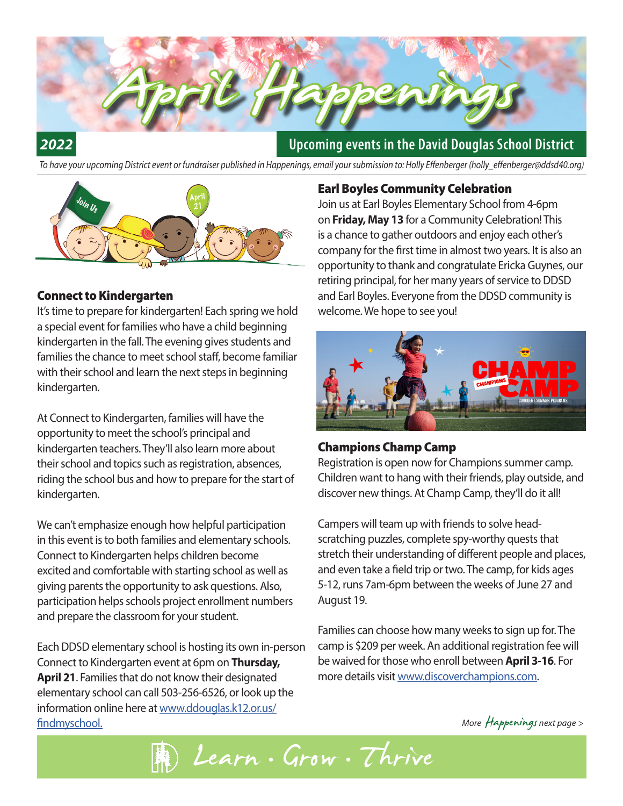# **Upcoming events in the David Douglas School District**

*To have your upcoming District event or fundraiser published in Happenings, email your submission to: Holly Effenberger (holly\_effenberger@ddsd40.org)*

April Happenings



#### Connect to Kindergarten

*2022*

It's time to prepare for kindergarten! Each spring we hold a special event for families who have a child beginning kindergarten in the fall. The evening gives students and families the chance to meet school staff, become familiar with their school and learn the next steps in beginning kindergarten.

At Connect to Kindergarten, families will have the opportunity to meet the school's principal and kindergarten teachers. They'll also learn more about their school and topics such as registration, absences, riding the school bus and how to prepare for the start of kindergarten.

We can't emphasize enough how helpful participation in this event is to both families and elementary schools. Connect to Kindergarten helps children become excited and comfortable with starting school as well as giving parents the opportunity to ask questions. Also, participation helps schools project enrollment numbers and prepare the classroom for your student.

Each DDSD elementary school is hosting its own in-person Connect to Kindergarten event at 6pm on **Thursday, April 21**. Families that do not know their designated elementary school can call 503-256-6526, or look up the information online here at www.ddouglas.k12.or.us/ findmyschool.

#### Earl Boyles Community Celebration

Join us at Earl Boyles Elementary School from 4-6pm on **Friday, May 13** for a Community Celebration! This is a chance to gather outdoors and enjoy each other's company for the first time in almost two years. It is also an opportunity to thank and congratulate Ericka Guynes, our retiring principal, for her many years of service to DDSD and Earl Boyles. Everyone from the DDSD community is welcome. We hope to see you!



#### Champions Champ Camp

Registration is open now for Champions summer camp. Children want to hang with their friends, play outside, and discover new things. At Champ Camp, they'll do it all!

Campers will team up with friends to solve headscratching puzzles, complete spy-worthy quests that stretch their understanding of different people and places, and even take a field trip or two. The camp, for kids ages 5-12, runs 7am-6pm between the weeks of June 27 and August 19.

Families can choose how many weeks to sign up for. The camp is \$209 per week. An additional registration fee will be waived for those who enroll between **April 3-16**. For more details visit www.discoverchampions.com.

*More* Happenings *next page* >

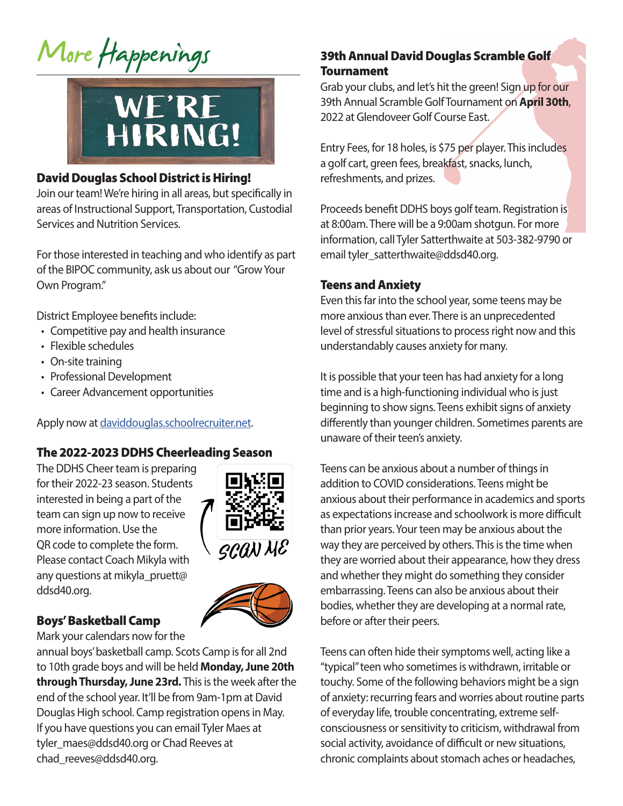# More Happenings



## David Douglas School District is Hiring!

Join our team! We're hiring in all areas, but specifically in areas of Instructional Support, Transportation, Custodial Services and Nutrition Services.

For those interested in teaching and who identify as part of the BIPOC community, ask us about our "Grow Your Own Program."

District Employee benefits include:

- Competitive pay and health insurance
- Flexible schedules
- On-site training
- Professional Development
- Career Advancement opportunities

Apply now at daviddouglas.schoolrecruiter.net.

## The 2022-2023 DDHS Cheerleading Season

The DDHS Cheer team is preparing for their 2022-23 season. Students interested in being a part of the team can sign up now to receive more information. Use the QR code to complete the form. Please contact Coach Mikyla with any questions at mikyla\_pruett@ ddsd40.org.



## Boys' Basketball Camp

Mark your calendars now for the

annual boys' basketball camp. Scots Camp is for all 2nd to 10th grade boys and will be held **Monday, June 20th through Thursday, June 23rd.** This is the week after the end of the school year. It'll be from 9am-1pm at David Douglas High school. Camp registration opens in May. If you have questions you can email Tyler Maes at tyler\_maes@ddsd40.org or Chad Reeves at chad\_reeves@ddsd40.org.

# 39th Annual David Douglas Scramble Golf **Tournament**

Grab your clubs, and let's hit the green! Sign up for our 39th Annual Scramble Golf Tournament on **April 30th**, 2022 at Glendoveer Golf Course East.

Entry Fees, for 18 holes, is \$75 per player. This includes a golf cart, green fees, breakfast, snacks, lunch, refreshments, and prizes.

Proceeds benefit DDHS boys golf team. Registration is at 8:00am. There will be a 9:00am shotgun. For more information, call Tyler Satterthwaite at 503-382-9790 or email tyler\_satterthwaite@ddsd40.org.

## Teens and Anxiety

Even this far into the school year, some teens may be more anxious than ever. There is an unprecedented level of stressful situations to process right now and this understandably causes anxiety for many.

It is possible that your teen has had anxiety for a long time and is a high-functioning individual who is just beginning to show signs. Teens exhibit signs of anxiety differently than younger children. Sometimes parents are unaware of their teen's anxiety.

Teens can be anxious about a number of things in addition to COVID considerations. Teens might be anxious about their performance in academics and sports as expectations increase and schoolwork is more difficult than prior years. Your teen may be anxious about the way they are perceived by others. This is the time when they are worried about their appearance, how they dress and whether they might do something they consider embarrassing. Teens can also be anxious about their bodies, whether they are developing at a normal rate, before or after their peers.

Teens can often hide their symptoms well, acting like a "typical" teen who sometimes is withdrawn, irritable or touchy. Some of the following behaviors might be a sign of anxiety: recurring fears and worries about routine parts of everyday life, trouble concentrating, extreme selfconsciousness or sensitivity to criticism, withdrawal from social activity, avoidance of difficult or new situations, chronic complaints about stomach aches or headaches,